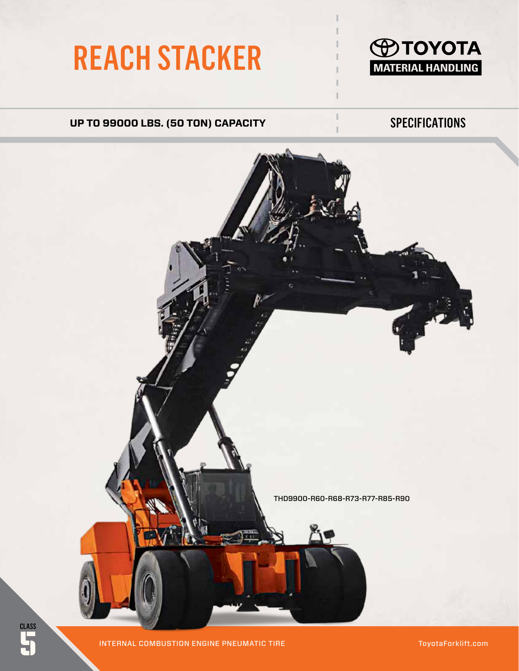# REACH STACKER



## UP TO 99000 LBS. (50 TON) CAPACITY SPECIFICATIONS



**CLASS** 

5 INTERNAL COMBUSTION ENGINE PNEUMATIC TIRE

ToyotaForklift.com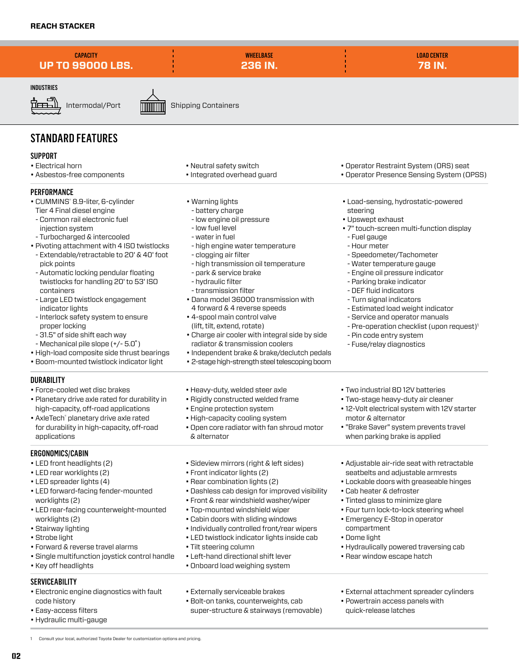**CAPACITY UP TO 99000 LBS.**

**WHEELBASE 236 IN.** LOAD CENTER **78 IN.**

#### INDUSTRIES



Intermodal/Port **INNIMIN** Shipping Containers

## STANDARD FEATURES

#### **SUPPORT**

- Electrical horn
- Asbestos-free components

#### **PERFORMANCE**

- CUMMINS<sup>®</sup> 8.9-liter, 6-cylinder
- Tier 4 Final diesel engine - Common rail electronic fuel
- injection system
- Turbocharged & intercooled
- Pivoting attachment with 4 ISO twistlocks
- Extendable/retractable to 20' & 40' foot pick points
- Automatic locking pendular floating twistlocks for handling 20' to 53' ISO containers
- Large LED twistlock engagement indicator lights
- Interlock safety system to ensure proper locking
- 31.5" of side shift each way
- Mechanical pile slope (+/- 5.0˚)
- High-load composite side thrust bearings
- Boom-mounted twistlock indicator light

#### **DURABILITY**

- Force-cooled wet disc brakes
- Planetary drive axle rated for durability in high-capacity, off-road applications
- AxleTech® planetary drive axle rated for durability in high-capacity, off-road applications

#### ERGONOMICS/CABIN

- LED front headlights (2)
- LED rear worklights (2)
- LED spreader lights (4)
- LED forward-facing fender-mounted worklights (2)
- LED rear-facing counterweight-mounted worklights (2)
- Stairway lighting
- Strobe light
- Forward & reverse travel alarms
- Single multifunction joystick control handle
- Key off headlights

### SERVICEABILITY

02

• Electronic engine diagnostics with fault code history

1 Consult your local, authorized Toyota Dealer for customization options and pricing.

- Easy-access filters
- Hydraulic multi-gauge
- Neutral safety switch
- Integrated overhead guard
- Warning lights
- battery charge
- low engine oil pressure
- low fuel level
- water in fuel
- high engine water temperature
- clogging air filter
- high transmission oil temperature
- park & service brake
- hydraulic filter
- transmission filter
- Dana model 36000 transmission with 4 forward & 4 reverse speeds
- 4-spool main control valve (lift, tilt, extend, rotate)
- Charge air cooler with integral side by side radiator & transmission coolers
- Independent brake & brake/declutch pedals
- 2-stage high-strength steel telescoping boom
- Heavy-duty, welded steer axle
- Rigidly constructed welded frame
- Engine protection system
- High-capacity cooling system
- Open core radiator with fan shroud motor & alternator
- Sideview mirrors (right & left sides)
- Front indicator lights (2)
- Rear combination lights (2)
- Dashless cab design for improved visibility
- Front & rear windshield washer/wiper
- Top-mounted windshield wiper
- Cabin doors with sliding windows
- Individually controlled front/rear wipers
- LED twistlock indicator lights inside cab
- Tilt steering column
- Left-hand directional shift lever
- Onboard load weighing system
- Externally serviceable brakes
- Bolt-on tanks, counterweights, cab super-structure & stairways (removable)
- Operator Restraint System (ORS) seat
- Operator Presence Sensing System (OPSS)
- Load-sensing, hydrostatic-powered steering
- Upswept exhaust
- 7" touch-screen multi-function display
	- Fuel gauge
- Hour meter
- Speedometer/Tachometer
- Water temperature gauge
- Engine oil pressure indicator
- Parking brake indicator
- DEF fluid indicators
- Turn signal indicators
- Estimated load weight indicator
- Service and operator manuals
- Pre-operation checklist (upon request)<sup>1</sup>
- Pin code entry system
- Fuse/relay diagnostics

• Two industrial 8D 12V batteries • Two-stage heavy-duty air cleaner • 12-Volt electrical system with 12V starter

• "Brake Saver" system prevents travel when parking brake is applied

• Adjustable air-ride seat with retractable seatbelts and adjustable armrests • Lockable doors with greaseable hinges

• External attachment spreader cylinders

• Hydraulically powered traversing cab

• Powertrain access panels with quick-release latches

• Rear window escape hatch

motor & alternator

• Cab heater & defroster • Tinted glass to minimize glare • Four turn lock-to-lock steering wheel • Emergency E-Stop in operator

compartment • Dome light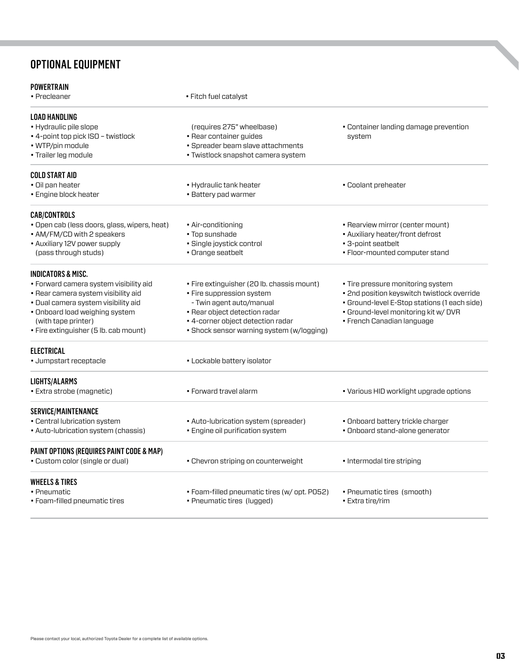## **78 IN.** OPTIONAL EQUIPMENT

| POWERTRAIN                                   |                                              |                                              |
|----------------------------------------------|----------------------------------------------|----------------------------------------------|
| • Precleaner                                 | • Fitch fuel catalyst                        |                                              |
| LOAD HANDLING                                |                                              |                                              |
| • Hydraulic pile slope                       | (requires 275" wheelbase)                    | • Container landing damage prevention        |
| • 4-point top pick ISO - twistlock           | • Rear container guides                      | system                                       |
| · WTP/pin module                             | • Spreader beam slave attachments            |                                              |
| · Trailer leg module                         | • Twistlock snapshot camera system           |                                              |
| COLD START AID                               |                                              |                                              |
| · Oil pan heater                             | • Hydraulic tank heater                      | • Coolant preheater                          |
| • Engine block heater                        | • Battery pad warmer                         |                                              |
| <b>CAB/CONTROLS</b>                          |                                              |                                              |
| · Open cab (less doors, glass, wipers, heat) | • Air-conditioning                           | • Rearview mirror (center mount)             |
| • AM/FM/CD with 2 speakers                   | • Top sunshade                               | • Auxiliary heater/front defrost             |
| • Auxiliary 12V power supply                 | · Single joystick control                    | • 3-point seatbelt                           |
| (pass through studs)                         | · Orange seatbelt                            | • Floor-mounted computer stand               |
| INDICATORS & MISC.                           |                                              |                                              |
| • Forward camera system visibility aid       | • Fire extinguisher (20 lb. chassis mount)   | • Tire pressure monitoring system            |
| · Rear camera system visibility aid          | • Fire suppression system                    | · 2nd position keyswitch twistlock override  |
| · Dual camera system visibility aid          | - Twin agent auto/manual                     | • Ground-level E-Stop stations (1 each side) |
| • Onboard load weighing system               | • Rear object detection radar                | · Ground-level monitoring kit w/ DVR         |
| (with tape printer)                          | • 4-corner object detection radar            | • French Canadian language                   |
| • Fire extinguisher (5 lb. cab mount)        | • Shock sensor warning system (w/logging)    |                                              |
| <b>ELECTRICAL</b>                            |                                              |                                              |
| • Jumpstart receptacle                       | • Lockable battery isolator                  |                                              |
| <b>LIGHTS/ALARMS</b>                         |                                              |                                              |
| • Extra strobe (magnetic)                    | • Forward travel alarm                       | • Various HID worklight upgrade options      |
| SERVICE/MAINTENANCE                          |                                              |                                              |
| • Central lubrication system                 | • Auto-lubrication system (spreader)         | • Onboard battery trickle charger            |
| • Auto-lubrication system (chassis)          | · Engine oil purification system             | · Onboard stand-alone generator              |
| PAINT OPTIONS (REQUIRES PAINT CODE & MAP)    |                                              |                                              |
| • Custom color (single or dual)              | • Chevron striping on counterweight          | • Intermodal tire striping                   |
| <b>WHEELS &amp; TIRES</b>                    |                                              |                                              |
| • Pneumatic                                  | • Foam-filled pneumatic tires (w/ opt. P052) | • Pneumatic tires (smooth)                   |
| • Foam-filled pneumatic tires                | • Pneumatic tires (lugged)                   | • Extra tire/rim                             |
|                                              |                                              |                                              |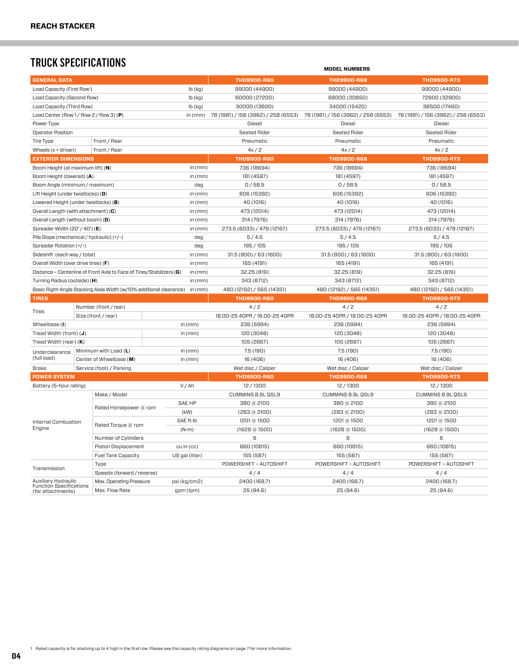## **TRUCK SPECIFICATIONS** TRUCK SPECIFICATIONS

| <b>GENERAL DATA</b>                                                  |                          |                            |                                     |                                     | <b>THD9900-R60</b>                  | <b>THD9900-R68</b>            | THD9900-R73                   |
|----------------------------------------------------------------------|--------------------------|----------------------------|-------------------------------------|-------------------------------------|-------------------------------------|-------------------------------|-------------------------------|
| Load Capacity (First Row <sup>1</sup> )                              |                          | $Ib$ (kg)                  | 99000 (44900)                       | 99000 (44900)                       | 99000 (44900)                       |                               |                               |
| Load Capacity (Second Row)                                           |                          | $lb$ (kg)                  | 60000 (27200)                       | 68000 (30850)                       | 72600 (32900)                       |                               |                               |
| Load Capacity (Third Row)<br>lb (kg)                                 |                          |                            | 30000 (13600)                       | 34000 (15420)                       | 38500 (17460)                       |                               |                               |
| Load Center (Row $1/$ Row $2/$ Row 3) (P)                            |                          | in $(mm)$                  | 78 (1981) / 156 (3962) / 258 (6553) | 78 (1981) / 156 (3962) / 258 (6553) | 78 (1981) / 156 (3962) / 258 (6553) |                               |                               |
| Power Type                                                           |                          |                            |                                     |                                     | Diesel                              | <b>Diesel</b>                 | Diesel                        |
| <b>Operator Position</b>                                             |                          |                            |                                     |                                     | <b>Seated Rider</b>                 | <b>Seated Rider</b>           | <b>Seated Rider</b>           |
| Tire Type                                                            |                          | Front / Rear               |                                     |                                     | Pneumatic                           | Pneumatic                     | Pneumatic                     |
| Wheels $(x =$ driven)                                                |                          | Front / Rear               |                                     |                                     | 4x/2                                | 4x/2                          | 4x/2                          |
| <b>EXTERIOR DIMENSIONS</b>                                           |                          |                            |                                     |                                     | <b>THD9900-R60</b>                  | <b>THD9900-R68</b>            | THD9900-R73                   |
| Boom Height (at maximum lift) (N)                                    |                          |                            |                                     | in $(mm)$                           | 736 (18694)                         | 736 (18694)                   | 736 (18694)                   |
| Boom Height (lowered) (A)                                            |                          | in $(mm)$                  | 181 (4597)                          | 181 (4597)                          | 181 (4597)                          |                               |                               |
| Boom Angle (minimum / maximum)                                       |                          | deg                        | 0/58.5                              | 0/58.5                              | 0/58.5                              |                               |                               |
| Lift Height (under twistlocks) (O)                                   |                          | in $(mm)$                  | 606 (15392)                         | 606 (15392)                         | 606 (15392)                         |                               |                               |
| Lowered Height (under twistlocks) (B)                                |                          | in $(mm)$                  | 40 (1016)                           | 40 (1016)                           | 40 (1016)                           |                               |                               |
| Overall Length (with attachment) $(C)$                               |                          |                            |                                     | in $(mm)$                           | 473 (12014)                         | 473 (12014)                   | 473 (12014)                   |
| Overall Length (without boom) (D)                                    |                          |                            |                                     | in $(mm)$                           | 314 (7976)                          | 314 (7976)                    | 314 (7976)                    |
| Spreader Width (20' / 40') (E)                                       |                          |                            |                                     | in $(mm)$                           | 273.5 (6033) / 479 (12167)          | 273.5 (6033) / 479 (12167)    | 273.5 (6033) / 479 (12167)    |
| Pile Slope (mechanical / hydraulic) (+/-)                            |                          |                            |                                     | deg                                 | 5/4.5                               | 5/4.5                         | 5/4.5                         |
| Spreader Rotation (+/-)                                              |                          |                            |                                     | deg                                 | 195/105                             | 195 / 105                     | 195/105                       |
| Sideshift (each way / total)                                         |                          |                            |                                     | in $(mm)$                           | 31.5(800)/63(1600)                  | 31.5(800)/63(1600)            | 31.5(800)/63(1600)            |
| Overall Width (over drive tires) (F)                                 |                          |                            |                                     | in $(mm)$                           | 165 (4191)                          | 165 (4191)                    | 165 (4191)                    |
| Distance - Centerline of Front Axle to Face of Tires/Stabilizers (G) |                          |                            |                                     | in $(mm)$                           | 32.25 (819)                         | 32.25 (819)                   | 32.25 (819)                   |
| Turning Radius (outside) (H)                                         |                          |                            |                                     | in $(mm)$                           | 343 (8712)                          | 343 (8712)                    | 343 (8712)                    |
| Basic Right-Angle Stacking Aisle Width (w/10% additional clearance)  |                          |                            |                                     | in $(mm)$                           | 480 (12192) / 565 (14351)           | 480 (12192) / 565 (14351)     | 480 (12192) / 565 (14351)     |
| <b>TIRES</b>                                                         |                          |                            |                                     |                                     | <b>THD9900-R60</b>                  | <b>THD9900-R68</b>            | THD9900-R73                   |
|                                                                      | Number (front / rear)    |                            |                                     |                                     | 4/2                                 | 4/2                           | 4/2                           |
| Tires                                                                | Size (front / rear)      |                            |                                     |                                     | 18.00-25 40PR / 18.00-25 40PR       | 18.00-25 40PR / 18.00-25 40PR | 18.00-25 40PR / 18.00-25 40PR |
| Wheelbase (I)                                                        |                          |                            |                                     | in $(mm)$                           | 236 (5994)                          | 236 (5994)                    | 236 (5994)                    |
| Tread Width (front) (J)                                              |                          |                            |                                     | in (mm)                             | 120 (3048)                          | 120 (3048)                    | 120 (3048)                    |
| Tread Width (rear) $(K)$                                             |                          |                            |                                     |                                     | 105 (2667)                          | 105 (2667)                    | 105 (2667)                    |
|                                                                      |                          |                            |                                     |                                     |                                     |                               |                               |
| Underclearance<br>(full load)                                        | Minimum with Load (L)    |                            |                                     | in $(mm)$                           | 7.5 (190)                           | 7.5 (190)                     | 7.5 (190)                     |
|                                                                      | Center of Wheelbase (M)  |                            |                                     | in (mm)                             | 16 (406)                            | 16 (406)                      | 16 (406)                      |
| <b>Brake</b>                                                         | Service (foot) / Parking |                            |                                     |                                     | Wet disc / Caliper                  | Wet disc / Caliper            | Wet disc / Caliper            |
| <b>POWER SYSTEM</b>                                                  |                          |                            |                                     |                                     | <b>THD9900-R60</b>                  | <b>THD9900-R68</b>            | <b>THD9900-R73</b>            |
| Battery (5-hour rating)                                              |                          |                            |                                     | V/Ah                                | 12/1300                             | 12/1300                       | 12/1300                       |
| Make / Model                                                         |                          |                            |                                     | CUMMINS 8.9L QSL9                   | CUMMINS 8.9L QSL9                   | CUMMINS 8.9L QSL9             |                               |
|                                                                      |                          | Rated Horsepower @ rpm     |                                     | <b>SAE HP</b><br>(kW)               | 380 @ 2100                          | 380 @ 2100                    | 380 @ 2100                    |
|                                                                      |                          |                            |                                     |                                     | $(283 \text{ @ } 2100)$             | $(283 \text{ @ } 2100)$       | $(283 \text{ @ } 2100)$       |
| Internal Combustion                                                  |                          | Rated Torque @ rpm         |                                     | SAE ft-Ib                           | 1201 @ 1500                         | 1201 @ 1500                   | 1201 @ 1500                   |
| Engine                                                               |                          |                            |                                     | $(N-m)$                             | $(1628)$ (a 1500)                   | $(1628)$ (a 1500)             | $(1628)$ (a 1500)             |
|                                                                      |                          | Number of Cylinders        |                                     |                                     | 6                                   | 6                             | 6                             |
|                                                                      |                          | <b>Piston Displacement</b> |                                     | $cu$ in $(cc)$                      | 660 (10815)                         | 660 (10815)                   | 660 (10815)                   |
|                                                                      |                          | <b>Fuel Tank Capacity</b>  |                                     | US gal (liter)                      | 155 (587)                           | 155 (587)                     | 155 (587)                     |
| Transmission                                                         | Type                     |                            |                                     |                                     | POWERSHIFT - AUTOSHIFT              | POWERSHIFT - AUTOSHIFT        | POWERSHIFT - AUTOSHIFT        |
|                                                                      |                          | Speeds (forward / reverse) |                                     |                                     | 4/4                                 | 4/4                           | 4/4                           |
| Auxiliary Hydraulic<br><b>Function Specifications</b>                |                          | Max. Operating Pressure    |                                     | psi (kg/cm2)                        | 2400 (168.7)                        | 2400 (168.7)                  | 2400 (168.7)                  |
| (for attachments)                                                    |                          | Max. Flow Rate             |                                     | gpm (lpm)                           | 25(94.6)                            | 25(94.6)                      | 25(94.6)                      |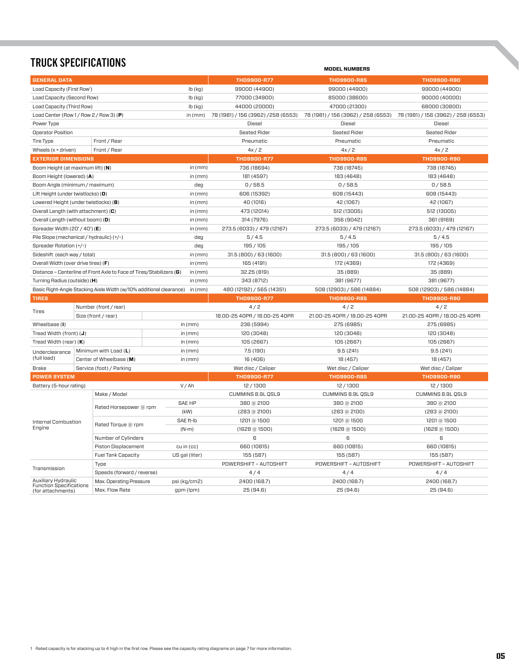## **TRUCK SPECIFICATIONS**

| <b>GENERAL DATA</b>                                        |                                                                      |                | <b>THD9900-R77</b>                 | <b>THD9900-R85</b>                  | <b>THD9900-R90</b>                  |
|------------------------------------------------------------|----------------------------------------------------------------------|----------------|------------------------------------|-------------------------------------|-------------------------------------|
| Load Capacity (First Row <sup>1</sup> )                    |                                                                      | $Ib$ ( $kq$ )  | 99000 (44900)                      | 99000 (44900)                       | 99000 (44900)                       |
| Load Capacity (Second Row)                                 |                                                                      | $lb$ (kg)      | 77000 (34900)                      | 85000 (38600)                       | 90000(40000)                        |
| Load Capacity (Third Row)                                  |                                                                      | $lb$ (kg)      | 44000 (20000)                      | 47000 (21300)                       | 68000 (30800)                       |
| Load Center (Row 1/Row 2/Row 3) (P)                        |                                                                      | in $(mm)$      | 78 (1981) / 156 (3962) /258 (6553) | 78 (1981) / 156 (3962) / 258 (6553) | 78 (1981) / 156 (3962) / 258 (6553) |
| Power Type                                                 |                                                                      |                | Diesel                             | Diesel                              | Diesel                              |
| Operator Position                                          |                                                                      |                | <b>Seated Rider</b>                | <b>Seated Rider</b>                 | <b>Seated Rider</b>                 |
| Tire Type                                                  | Front / Rear                                                         |                | Pneumatic                          | Pneumatic                           | Pneumatic                           |
| Wheels $(x =$ driven)                                      | Front / Rear                                                         |                | 4x/2                               | 4x/2                                | 4x/2                                |
| <b>EXTERIOR DIMENSIONS</b>                                 |                                                                      |                | THD9900-R77                        | <b>THD9900-R85</b>                  | <b>THD9900-R90</b>                  |
| Boom Height (at maximum lift) (N)                          |                                                                      | in $(mm)$      | 736 (18694)                        | 738 (18745)                         | 738 (18745)                         |
| Boom Height (lowered) (A)                                  |                                                                      | in $(mm)$      | 181 (4597)                         | 183 (4648)                          | 183 (4648)                          |
| Boom Angle (minimum / maximum)                             |                                                                      | deg            | 0/58.5                             | 0/58.5                              | 0/58.5                              |
| Lift Height (under twistlocks) $\left( \mathbf{0} \right)$ |                                                                      | in $(mm)$      | 606 (15392)                        | 608 (15443)                         | 608 (15443)                         |
|                                                            | Lowered Height (under twistlocks) (B)                                | in $(mm)$      | 40 (1016)                          | 42 (1067)                           | 42 (1067)                           |
|                                                            | Overall Length (with attachment) $(C)$                               | in $(mm)$      | 473 (12014)                        | 512 (13005)                         | 512 (13005)                         |
| Overall Length (without boom) (D)                          |                                                                      | in $(mm)$      | 314 (7976)                         | 356 (9042)                          | 361 (9169)                          |
| Spreader Width (20' / 40') (E)                             |                                                                      | in $(mm)$      | 273.5 (6033) / 479 (12167)         | 273.5 (6033) / 479 (12167)          | 273.5 (6033) / 479 (12167)          |
|                                                            | Pile Slope (mechanical / hydraulic) (+/-)                            | deg            | 5/4.5                              | 5/4.5                               | 5/4.5                               |
| Spreader Rotation (+/-)                                    |                                                                      | deg            | 195/105                            | 195 / 105                           | 195/105                             |
| Sideshift (each way / total)                               |                                                                      | in $(mm)$      | 31.5(800)/63(1600)                 | 31.5(800)/63(1600)                  | 31.5(800)/63(1600)                  |
| Overall Width (over drive tires) (F)                       |                                                                      | in $(mm)$      | 165 (4191)                         | 172 (4369)                          | 172 (4369)                          |
|                                                            | Distance - Centerline of Front Axle to Face of Tires/Stabilizers (G) | in $(mm)$      | 32.25 (819)                        | 35 (889)                            | 35 (889)                            |
| Turning Radius (outside) (H)                               |                                                                      | in $(mm)$      | 343 (8712)                         | 381 (9677)                          | 381 (9677)                          |
|                                                            | Basic Right-Angle Stacking Aisle Width (w/10% additional clearance)  | in (mm)        | 480 (12192) / 565 (14351)          | 508 (12903) / 586 (14884)           | 508 (12903) / 586 (14884)           |
| <b>TIRES</b>                                               |                                                                      |                | THD9900-R77                        | THD9900-R85                         | <b>THD9900-R90</b>                  |
|                                                            | Number (front / rear)                                                |                | 4/2                                | 4/2                                 | 4/2                                 |
| Tires                                                      | Size (front / rear)                                                  |                |                                    | 21.00-25 40PR / 18.00-25 40PR       | 21.00-25 40PR / 18.00-25 40PR       |
|                                                            |                                                                      |                | 18.00-25 40PR / 18.00-25 40PR      |                                     |                                     |
| Wheelbase (I)                                              |                                                                      | in $(mm)$      | 236 (5994)                         | 275 (6985)                          | 275 (6985)                          |
| Tread Width (front) $(J)$                                  |                                                                      | in $(mm)$      | 120 (3048)                         | 120 (3048)                          | 120 (3048)                          |
| Tread Width (rear) $(K)$                                   |                                                                      | in (mm)        | 105 (2667)                         | 105 (2667)                          | 105 (2667)                          |
|                                                            | Minimum with Load (L)                                                | in $(mm)$      | 7.5 (190)                          | 9.5(241)                            | 9.5(241)                            |
| Underclearance<br>(full load)                              | Center of Wheelbase (M)                                              | in $(mm)$      | 16 (406)                           | 18 (457)                            | 18 (457)                            |
| <b>Brake</b>                                               | Service (foot) / Parking                                             |                | Wet disc / Caliper                 | Wet disc / Caliper                  | Wet disc / Caliper                  |
| <b>POWER SYSTEM</b>                                        |                                                                      |                | THD9900-R77                        | THD9900-R85                         | <b>THD9900-R90</b>                  |
| Battery (5-hour rating)                                    |                                                                      | V/Ah           | 12/1300                            | 12/1300                             | 12/1300                             |
|                                                            | Make / Model                                                         |                | CUMMINS 8.9L QSL9                  | CUMMINS 8.9L QSL9                   | CUMMINS 8.9L QSL9                   |
|                                                            |                                                                      | <b>SAE HP</b>  | 380 @ 2100                         | 380 @ 2100                          | 380 @ 2100                          |
|                                                            | Rated Horsepower @ rpm                                               | (kW)           | $(283 \text{ @ } 2100)$            | $(283 \text{ @ } 2100)$             | $(283 \text{ @ } 2100)$             |
|                                                            |                                                                      | SAE ft-Ib      | 1201 @ 1500                        | 1201 @ 1500                         | 1201 @ 1500                         |
| Internal Combustion<br>Engine                              | Rated Torque @ rpm                                                   | $(N-m)$        | $(1628)$ (a 1500)                  | $(1628)$ (a 1500)                   | $(1628)$ (a 1500)                   |
|                                                            | Number of Cylinders                                                  |                | 6                                  | 6                                   | 6                                   |
|                                                            | <b>Piston Displacement</b>                                           | cu in (cc)     | 660 (10815)                        | 660 (10815)                         | 660 (10815)                         |
|                                                            | <b>Fuel Tank Capacity</b>                                            | US gal (liter) | 155 (587)                          | 155 (587)                           | 155 (587)                           |
|                                                            | Type                                                                 |                | POWERSHIFT - AUTOSHIFT             | POWERSHIFT - AUTOSHIFT              | POWERSHIFT - AUTOSHIFT              |
| Transmission                                               | Speeds (forward / reverse)                                           |                | 4/4                                | 4/4                                 | 4/4                                 |
| Auxiliary Hydraulic<br><b>Function Specifications</b>      | Max. Operating Pressure                                              | psi (kg/cm2)   | 2400 (168.7)                       | 2400 (168.7)                        | 2400 (168.7)                        |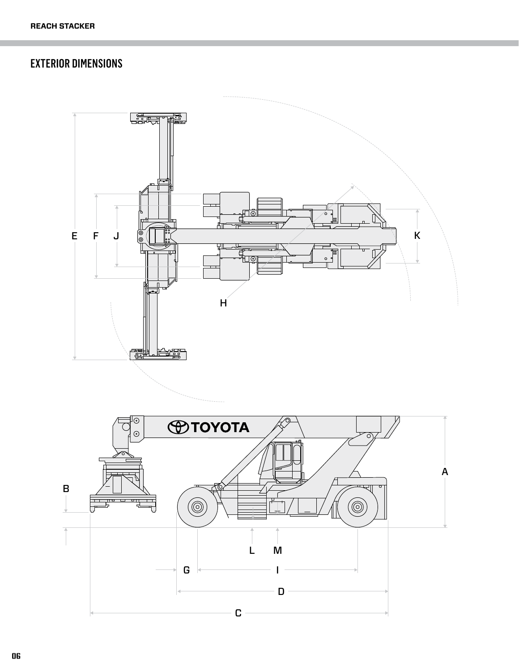## EXTERIOR DIMENSIONS

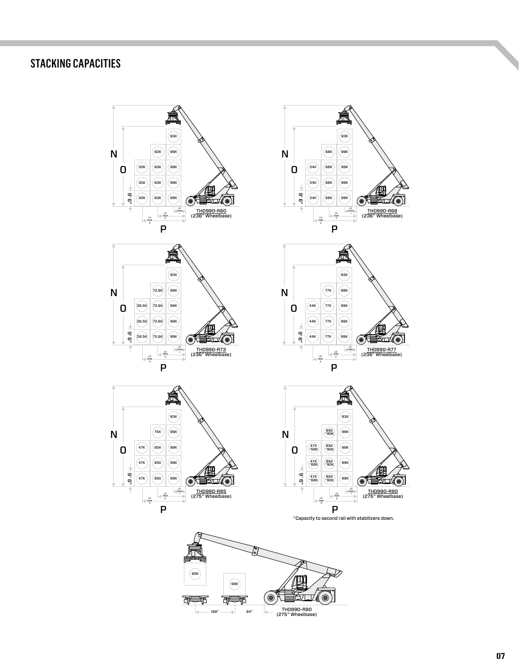## STACKING CAPACITIES